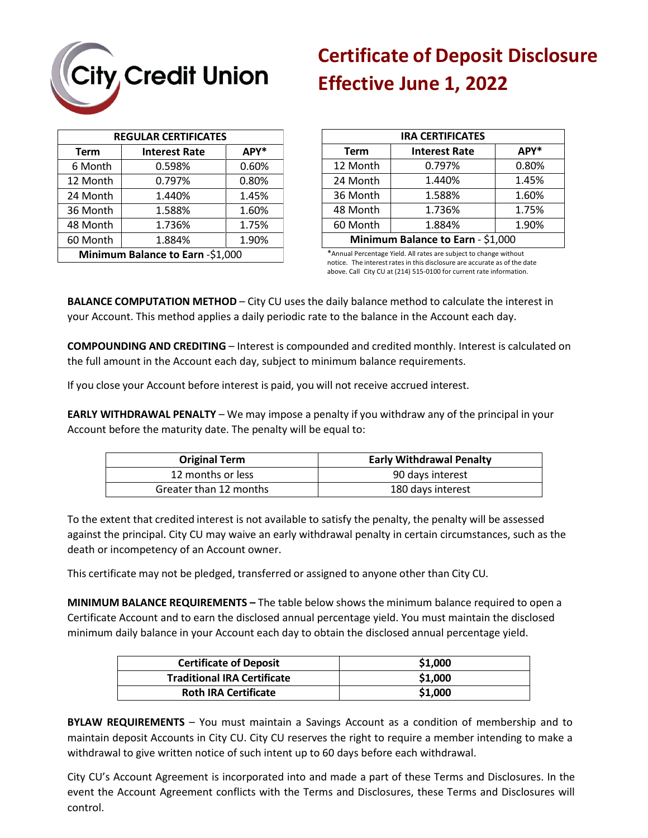

## **Certificate of Deposit Disclosure Effective June 1, 2022**

| <b>REGULAR CERTIFICATES</b>      |                      |       |
|----------------------------------|----------------------|-------|
| <b>Term</b>                      | <b>Interest Rate</b> | APY*  |
| 6 Month                          | 0.598%               | 0.60% |
| 12 Month                         | 0.797%               | 0.80% |
| 24 Month                         | 1.440%               | 1.45% |
| 36 Month                         | 1.588%               | 1.60% |
| 48 Month                         | 1.736%               | 1.75% |
| 60 Month                         | 1.884%               | 1.90% |
| Minimum Balance to Earn -\$1,000 |                      |       |

| <b>IRA CERTIFICATES</b>           |                      |       |  |  |
|-----------------------------------|----------------------|-------|--|--|
| <b>Term</b>                       | <b>Interest Rate</b> | APY*  |  |  |
| 12 Month                          | 0.797%               | 0.80% |  |  |
| 24 Month                          | 1.440%               | 1.45% |  |  |
| 36 Month                          | 1.588%               | 1.60% |  |  |
| 48 Month                          | 1.736%               | 1.75% |  |  |
| 60 Month                          | 1.884%               | 1.90% |  |  |
| Minimum Balance to Earn - \$1,000 |                      |       |  |  |

\*Annual Percentage Yield. All rates are subject to change without notice. The interest rates in this disclosure are accurate as of the date above. Call City CU at (214) 515-0100 for current rate information.

**BALANCE COMPUTATION METHOD** – City CU uses the daily balance method to calculate the interest in your Account. This method applies a daily periodic rate to the balance in the Account each day.

**COMPOUNDING AND CREDITING** – Interest is compounded and credited monthly. Interest is calculated on the full amount in the Account each day, subject to minimum balance requirements.

If you close your Account before interest is paid, you will not receive accrued interest.

**EARLY WITHDRAWAL PENALTY** – We may impose a penalty if you withdraw any of the principal in your Account before the maturity date. The penalty will be equal to:

| <b>Original Term</b>   | <b>Early Withdrawal Penalty</b> |
|------------------------|---------------------------------|
| 12 months or less      | 90 days interest                |
| Greater than 12 months | 180 days interest               |

To the extent that credited interest is not available to satisfy the penalty, the penalty will be assessed against the principal. City CU may waive an early withdrawal penalty in certain circumstances, such as the death or incompetency of an Account owner.

This certificate may not be pledged, transferred or assigned to anyone other than City CU.

**MINIMUM BALANCE REQUIREMENTS –** The table below shows the minimum balance required to open a Certificate Account and to earn the disclosed annual percentage yield. You must maintain the disclosed minimum daily balance in your Account each day to obtain the disclosed annual percentage yield.

| <b>Certificate of Deposit</b>      | \$1,000 |
|------------------------------------|---------|
| <b>Traditional IRA Certificate</b> | \$1,000 |
| <b>Roth IRA Certificate</b>        | \$1,000 |

**BYLAW REQUIREMENTS** – You must maintain a Savings Account as a condition of membership and to maintain deposit Accounts in City CU. City CU reserves the right to require a member intending to make a withdrawal to give written notice of such intent up to 60 days before each withdrawal.

City CU's Account Agreement is incorporated into and made a part of these Terms and Disclosures. In the event the Account Agreement conflicts with the Terms and Disclosures, these Terms and Disclosures will control.